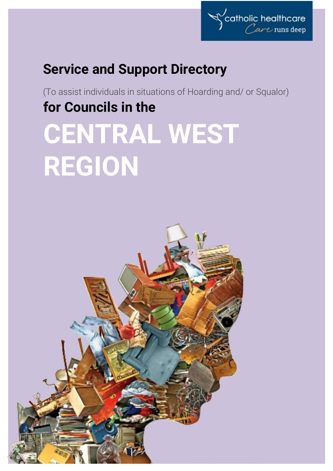

## **Service and Support Directory**

(To assist individuals in situations of Hoarding and/ or Squalor) **for Councils in the**

# **CENTRAL WEST REGION**

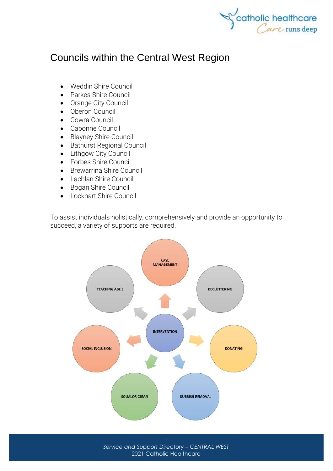

### Councils within the Central West Region

- [Weddin Shire Council](http://www.weddin.nsw.gov.au/)
- [Parkes Shire Council](http://www.parkes.nsw.gov.au/)
- [Orange City Council](http://www.orange.nsw.gov.au/)
- [Oberon Council](http://www.oberon.nsw.gov.au/)
- [Cowra Council](http://www.cowracouncil.com.au/)
- [Cabonne Council](http://www.cabonne.nsw.gov.au/)
- [Blayney Shire Council](http://www.blayney.nsw.gov.au/)
- [Bathurst Regional Council](https://www.bathurst.nsw.gov.au/)
- [Lithgow City Council](http://www.lithgow.nsw.gov.au/)
- [Forbes Shire Council](http://www.forbes.nsw.gov.au/)
- [Brewarrina Shire Council](http://www.brewarrina.nsw.gov.au/)
- [Lachlan Shire Council](http://www.lachlan.nsw.gov.au/)
- [Bogan Shire Council](http://www.bogan.nsw.gov.au/)
- [Lockhart Shire Council](http://www.lockhart.nsw.gov.au/)

To assist individuals holistically, comprehensively and provide an opportunity to succeed, a variety of supports are required.

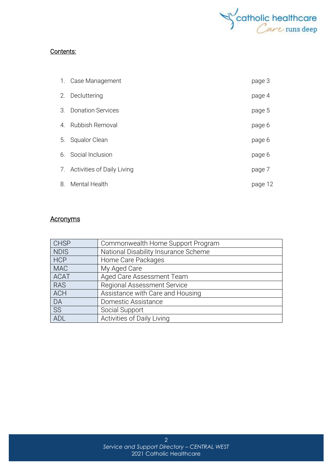

#### Contents:

|                | 1. Case Management            | page 3  |
|----------------|-------------------------------|---------|
| 2.             | Decluttering                  | page 4  |
| 3.             | <b>Donation Services</b>      | page 5  |
| 4 <sub>1</sub> | Rubbish Removal               | page 6  |
| 5.             | <b>Squalor Clean</b>          | page 6  |
|                | 6. Social Inclusion           | page 6  |
|                | 7. Activities of Daily Living | page 7  |
| 8.             | Mental Health                 | page 12 |

#### **Acronyms**

| <b>CHSP</b> | Commonwealth Home Support Program    |
|-------------|--------------------------------------|
| <b>NDIS</b> | National Disability Insurance Scheme |
| <b>HCP</b>  | Home Care Packages                   |
| <b>MAC</b>  | My Aged Care                         |
| <b>ACAT</b> | Aged Care Assessment Team            |
| <b>RAS</b>  | <b>Regional Assessment Service</b>   |
| <b>ACH</b>  | Assistance with Care and Housing     |
| DA          | Domestic Assistance                  |
| <b>SS</b>   | Social Support                       |
| ADL         | Activities of Daily Living           |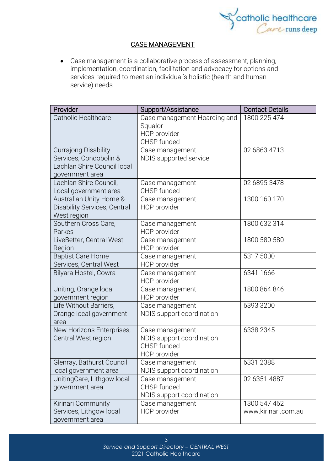

#### CASE MANAGEMENT

• Case management is a collaborative process of assessment, planning, implementation, coordination, facilitation and advocacy for options and services required to meet an individual's holistic (health and human service) needs

| Provider                                              | Support/Assistance           | <b>Contact Details</b> |
|-------------------------------------------------------|------------------------------|------------------------|
| <b>Catholic Healthcare</b>                            | Case management Hoarding and | 1800 225 474           |
|                                                       | Squalor                      |                        |
|                                                       | HCP provider                 |                        |
|                                                       | CHSP funded                  |                        |
| <b>Currajong Disability</b><br>Services, Condobolin & | Case management              | 02 6863 4713           |
| Lachlan Shire Council local                           | NDIS supported service       |                        |
| government area                                       |                              |                        |
| Lachlan Shire Council,                                | Case management              | 02 6895 3478           |
| Local government area                                 | CHSP funded                  |                        |
| Australian Unity Home &                               | Case management              | 1300 160 170           |
| <b>Disability Services, Central</b>                   | HCP provider                 |                        |
| West region                                           |                              |                        |
| Southern Cross Care,                                  | Case management              | 1800 632 314           |
| Parkes                                                | HCP provider                 |                        |
| LiveBetter, Central West                              | Case management              | 1800 580 580           |
| Region                                                | HCP provider                 |                        |
| <b>Baptist Care Home</b>                              | Case management              | 5317 5000              |
| Services, Central West                                | HCP provider                 |                        |
| Bilyara Hostel, Cowra                                 | Case management              | 6341 1666              |
|                                                       | HCP provider                 |                        |
| Uniting, Orange local                                 | Case management              | 1800 864 846           |
| government region                                     | HCP provider                 |                        |
| Life Without Barriers,                                | Case management              | 6393 3200              |
| Orange local government<br>area                       | NDIS support coordination    |                        |
| New Horizons Enterprises,                             | Case management              | 6338 2345              |
| Central West region                                   | NDIS support coordination    |                        |
|                                                       | CHSP funded                  |                        |
|                                                       | HCP provider                 |                        |
| Glenray, Bathurst Council                             | Case management              | 6331 2388              |
| local government area                                 | NDIS support coordination    |                        |
| UnitingCare, Lithgow local                            | Case management              | 02 6351 4887           |
| government area                                       | CHSP funded                  |                        |
|                                                       | NDIS support coordination    |                        |
| Kirinari Community                                    | Case management              | 1300 547 462           |
| Services, Lithgow local                               | HCP provider                 | www.kirinari.com.au    |
| government area                                       |                              |                        |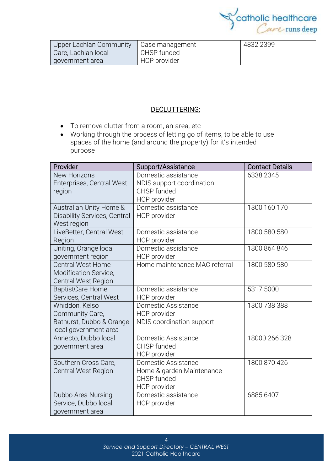

| Upper Lachlan Community   Case management |              | 4832 2399 |
|-------------------------------------------|--------------|-----------|
| Care, Lachlan local                       | CHSP funded  |           |
| government area                           | HCP provider |           |

#### DECLUTTERING:

- To remove clutter from a room, an area, etc
- Working through the process of letting go of items, to be able to use spaces of the home (and around the property) for it's intended purpose

| Provider                                                                               | Support/Assistance                                                              | <b>Contact Details</b> |
|----------------------------------------------------------------------------------------|---------------------------------------------------------------------------------|------------------------|
| <b>New Horizons</b><br>Enterprises, Central West<br>region                             | Domestic assistance<br>NDIS support coordination<br>CHSP funded<br>HCP provider | 6338 2345              |
| Australian Unity Home &<br><b>Disability Services, Central</b><br>West region          | Domestic assistance<br>HCP provider                                             | 1300 160 170           |
| LiveBetter, Central West<br>Region                                                     | Domestic assistance<br>HCP provider                                             | 1800 580 580           |
| Uniting, Orange local<br>government region                                             | Domestic assistance<br>HCP provider                                             | 1800 864 846           |
| <b>Central West Home</b><br>Modification Service,<br>Central West Region               | Home maintenance MAC referral                                                   | 1800 580 580           |
| <b>BaptistCare Home</b><br>Services, Central West                                      | Domestic assistance<br>HCP provider                                             | 5317 5000              |
| Whiddon, Kelso<br>Community Care,<br>Bathurst, Dubbo & Orange<br>local government area | Domestic Assistance<br>HCP provider<br>NDIS coordination support                | 1300 738 388           |
| Annecto, Dubbo local<br>government area                                                | Domestic Assistance<br>CHSP funded<br>HCP provider                              | 18000 266 328          |
| Southern Cross Care,<br><b>Central West Region</b>                                     | Domestic Assistance<br>Home & garden Maintenance<br>CHSP funded<br>HCP provider | 1800 870 426           |
| Dubbo Area Nursing<br>Service, Dubbo local<br>government area                          | Domestic assistance<br>HCP provider                                             | 6885 6407              |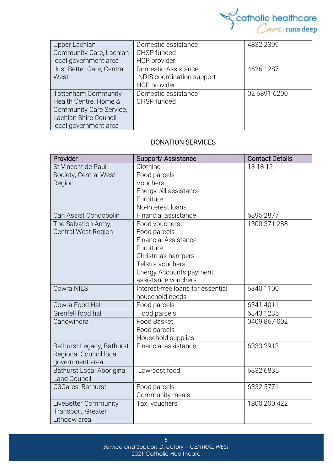

| Upper Lachlan              | Domestic assistance       | 4832 2399    |
|----------------------------|---------------------------|--------------|
| Community Care, Lachlan    | CHSP funded               |              |
| local government area      | HCP provider              |              |
| Just Better Care, Central  | Domestic Assistance       | 4626 1287    |
| West                       | NDIS coordination support |              |
|                            | HCP provider              |              |
| <b>Tottenham Community</b> | Domestic assistance       | 02 6891 6200 |
| Health Centre, Home &      | CHSP funded               |              |
| Community Care Service,    |                           |              |
| Lachlan Shire Council      |                           |              |
| local government area      |                           |              |

#### DONATION SERVICES

| Provider                         | Support/ Assistance               | <b>Contact Details</b> |
|----------------------------------|-----------------------------------|------------------------|
| St Vincent de Paul               | Clothing                          | 13 18 12               |
| Society, Central West            | Food parcels                      |                        |
| Region                           | Vouchers                          |                        |
|                                  | Energy bill assistance            |                        |
|                                  | Furniture                         |                        |
|                                  | No-interest loans                 |                        |
| Can Assist Condobolin            | Financial assistance              | 6895 2877              |
| The Salvation Army,              | Food vouchers                     | 1300 371 288           |
| <b>Central West Region</b>       | Food parcels                      |                        |
|                                  | <b>Financial Assistance</b>       |                        |
|                                  | Furniture                         |                        |
|                                  | Christmas hampers                 |                        |
|                                  | Telstra vouchers                  |                        |
|                                  | Energy Accounts payment           |                        |
|                                  | assistance vouchers               |                        |
| <b>Cowra NILS</b>                | Interest-free loans for essential | 6340 1100              |
|                                  | household needs                   |                        |
| Cowra Food Hall                  | Food parcels                      | 6341 4011              |
| Grenfell food hall               | Food parcels                      | 6343 1235              |
| Canowindra                       | <b>Food Basket</b>                | 0409 867 002           |
|                                  | Food parcels                      |                        |
|                                  | Household supplies                |                        |
| Bathurst Legacy, Bathurst        | Financial assistance              | 6333 2913              |
| Regional Council local           |                                   |                        |
| government area                  |                                   |                        |
| <b>Bathurst Local Aboriginal</b> | Low-cost food                     | 6332 6835              |
| <b>Land Council</b>              |                                   |                        |
| C3Cares, Bathurst                | Food parcels                      | 6332 5771              |
|                                  | Community meals                   |                        |
| LiveBetter Community             | Taxi vouchers                     | 1800 200 422           |
| Transport, Greater               |                                   |                        |
| Lithgow area                     |                                   |                        |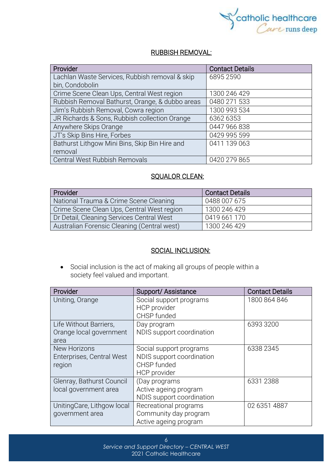

#### RUBBISH REMOVAL:

| Provider                                        | <b>Contact Details</b> |
|-------------------------------------------------|------------------------|
| Lachlan Waste Services, Rubbish removal & skip  | 6895 2590              |
| bin, Condobolin                                 |                        |
| Crime Scene Clean Ups, Central West region      | 1300 246 429           |
| Rubbish Removal Bathurst, Orange, & dubbo areas | 0480 271 533           |
| Jim's Rubbish Removal, Cowra region             | 1300 993 534           |
| JR Richards & Sons, Rubbish collection Orange   | 6362 6353              |
| Anywhere Skips Orange                           | 0447 966 838           |
| JT's Skip Bins Hire, Forbes                     | 0429 995 599           |
| Bathurst Lithgow Mini Bins, Skip Bin Hire and   | 0411 139 063           |
| removal                                         |                        |
| Central West Rubbish Removals                   | 0420 279 865           |

#### SQUALOR CLEAN:

| Provider                                    | <b>Contact Details</b> |
|---------------------------------------------|------------------------|
| National Trauma & Crime Scene Cleaning      | 0488 007 675           |
| Crime Scene Clean Ups, Central West region  | 1300 246 429           |
| Dr Detail, Cleaning Services Central West   | 0419 661 170           |
| Australian Forensic Cleaning (Central west) | 1300 246 429           |

#### SOCIAL INCLUSION:

• Social [inclusion](https://www.collinsdictionary.com/dictionary/english/inclusion) is the act of making all groups of people within a society [feel](https://www.collinsdictionary.com/dictionary/english/feel) valued and [important.](https://www.collinsdictionary.com/dictionary/english/important)

| Provider                   | Support/Assistance                             | <b>Contact Details</b> |
|----------------------------|------------------------------------------------|------------------------|
| Uniting, Orange            | Social support programs<br><b>HCP</b> provider | 1800 864 846           |
|                            | CHSP funded                                    |                        |
| Life Without Barriers,     | Day program                                    | 6393 3200              |
| Orange local government    | NDIS support coordination                      |                        |
| area                       |                                                |                        |
| New Horizons               | Social support programs                        | 6338 2345              |
| Enterprises, Central West  | NDIS support coordination                      |                        |
| region                     | CHSP funded                                    |                        |
|                            | HCP provider                                   |                        |
| Glenray, Bathurst Council  | (Day programs                                  | 6331 2388              |
| local government area      | Active ageing program                          |                        |
|                            | NDIS support coordination                      |                        |
| UnitingCare, Lithgow local | Recreational programs                          | 02 6351 4887           |
| government area            | Community day program                          |                        |
|                            | Active ageing program                          |                        |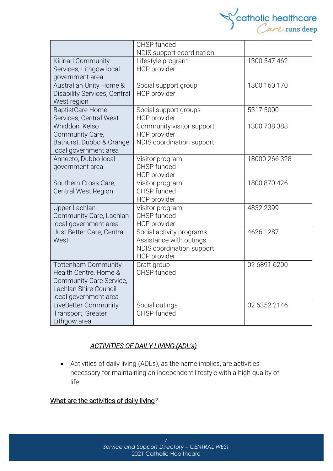

|                                     | CHSP funded               |               |
|-------------------------------------|---------------------------|---------------|
|                                     | NDIS support coordination |               |
| Kirinari Community                  | Lifestyle program         | 1300 547 462  |
| Services, Lithgow local             | <b>HCP</b> provider       |               |
| government area                     |                           |               |
| Australian Unity Home &             | Social support group      | 1300 160 170  |
| <b>Disability Services, Central</b> | HCP provider              |               |
| West region                         |                           |               |
| <b>BaptistCare Home</b>             | Social support groups     | 5317 5000     |
| Services, Central West              | <b>HCP</b> provider       |               |
| Whiddon, Kelso                      | Community visitor support | 1300 738 388  |
| Community Care,                     | HCP provider              |               |
| Bathurst, Dubbo & Orange            | NDIS coordination support |               |
| local government area               |                           |               |
| Annecto, Dubbo local                | Visitor program           | 18000 266 328 |
| government area                     | CHSP funded               |               |
|                                     | HCP provider              |               |
| Southern Cross Care,                | Visitor program           | 1800 870 426  |
| <b>Central West Region</b>          | CHSP funded               |               |
|                                     | HCP provider              |               |
| <b>Upper Lachlan</b>                | Visitor program           | 4832 2399     |
| Community Care, Lachlan             | CHSP funded               |               |
| local government area               | <b>HCP</b> provider       |               |
| Just Better Care, Central           | Social activity programs  | 4626 1287     |
| West                                | Assistance with outings   |               |
|                                     | NDIS coordination support |               |
|                                     | <b>HCP</b> provider       |               |
| <b>Tottenham Community</b>          | Craft group               | 02 6891 6200  |
| Health Centre, Home &               | CHSP funded               |               |
| Community Care Service,             |                           |               |
| Lachlan Shire Council               |                           |               |
| local government area               |                           |               |
| LiveBetter Community                | Social outings            | 02 6352 2146  |
| Transport, Greater                  | CHSP funded               |               |
| Lithgow area                        |                           |               |

#### *ACTIVITIES OF DAILY LIVING (ADL's)*

• Activities of daily living (ADLs), as the name implies, are activities necessary for maintaining an independent lifestyle with a high quality of life.

#### What are the activities of daily living*?*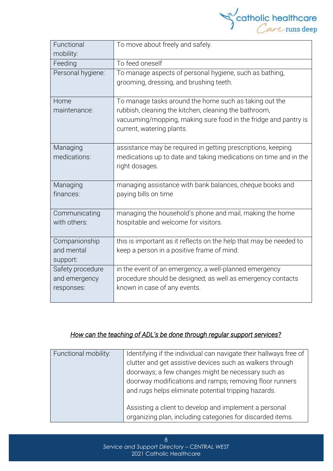

| Functional<br>mobility: | To move about freely and safely.                                                                                         |
|-------------------------|--------------------------------------------------------------------------------------------------------------------------|
| Feeding                 | To feed oneself                                                                                                          |
| Personal hygiene:       | To manage aspects of personal hygiene, such as bathing,<br>grooming, dressing, and brushing teeth.                       |
| Home                    | To manage tasks around the home such as taking out the                                                                   |
| maintenance:            | rubbish, cleaning the kitchen, cleaning the bathroom,<br>vacuuming/mopping, making sure food in the fridge and pantry is |
|                         | current, watering plants.                                                                                                |
| Managing                | assistance may be required in getting prescriptions, keeping                                                             |
| medications:            | medications up to date and taking medications on time and in the                                                         |
|                         | right dosages.                                                                                                           |
| Managing                | managing assistance with bank balances, cheque books and                                                                 |
| finances:               | paying bills on time                                                                                                     |
| Communicating           | managing the household's phone and mail, making the home                                                                 |
| with others:            | hospitable and welcome for visitors.                                                                                     |
| Companionship           | this is important as it reflects on the help that may be needed to                                                       |
| and mental              | keep a person in a positive frame of mind.                                                                               |
| support:                |                                                                                                                          |
| Safety procedure        | in the event of an emergency, a well-planned emergency                                                                   |
| and emergency           | procedure should be designed; as well as emergency contacts                                                              |
| responses:              | known in case of any events.                                                                                             |

#### *How can the teaching of ADL's be done through regular support services?*

| Functional mobility: | Identifying if the individual can navigate their hallways free of |  |
|----------------------|-------------------------------------------------------------------|--|
|                      | clutter and get assistive devices such as walkers through         |  |
|                      | doorways; a few changes might be necessary such as                |  |
|                      | doorway modifications and ramps; removing floor runners           |  |
|                      | and rugs helps eliminate potential tripping hazards.              |  |
|                      |                                                                   |  |
|                      | Assisting a client to develop and implement a personal            |  |
|                      | organizing plan, including categories for discarded items.        |  |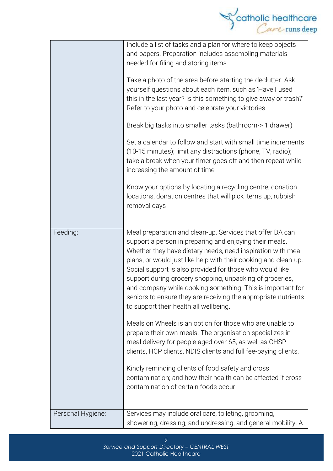

|                   | Include a list of tasks and a plan for where to keep objects<br>and papers. Preparation includes assembling materials<br>needed for filing and storing items.<br>Take a photo of the area before starting the declutter. Ask<br>yourself questions about each item, such as 'Have I used<br>this in the last year? Is this something to give away or trash?'<br>Refer to your photo and celebrate your victories.<br>Break big tasks into smaller tasks (bathroom-> 1 drawer)<br>Set a calendar to follow and start with small time increments<br>(10-15 minutes); limit any distractions (phone, TV, radio);<br>take a break when your timer goes off and then repeat while<br>increasing the amount of time<br>Know your options by locating a recycling centre, donation<br>locations, donation centres that will pick items up, rubbish<br>removal days                                                                                                                 |
|-------------------|-----------------------------------------------------------------------------------------------------------------------------------------------------------------------------------------------------------------------------------------------------------------------------------------------------------------------------------------------------------------------------------------------------------------------------------------------------------------------------------------------------------------------------------------------------------------------------------------------------------------------------------------------------------------------------------------------------------------------------------------------------------------------------------------------------------------------------------------------------------------------------------------------------------------------------------------------------------------------------|
| Feeding:          | Meal preparation and clean-up. Services that offer DA can<br>support a person in preparing and enjoying their meals.<br>Whether they have dietary needs, need inspiration with meal<br>plans, or would just like help with their cooking and clean-up.<br>Social support is also provided for those who would like<br>support during grocery shopping, unpacking of groceries,<br>and company while cooking something. This is important for<br>seniors to ensure they are receiving the appropriate nutrients<br>to support their health all wellbeing.<br>Meals on Wheels is an option for those who are unable to<br>prepare their own meals. The organisation specializes in<br>meal delivery for people aged over 65, as well as CHSP<br>clients, HCP clients, NDIS clients and full fee-paying clients.<br>Kindly reminding clients of food safety and cross<br>contamination; and how their health can be affected if cross<br>contamination of certain foods occur. |
| Personal Hygiene: | Services may include oral care, toileting, grooming,<br>showering, dressing, and undressing, and general mobility. A                                                                                                                                                                                                                                                                                                                                                                                                                                                                                                                                                                                                                                                                                                                                                                                                                                                        |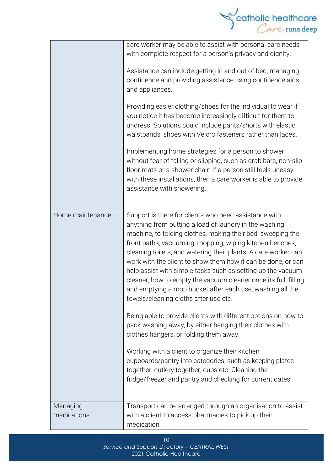

|                          | care worker may be able to assist with personal care needs<br>with complete respect for a person's privacy and dignity.<br>Assistance can include getting in and out of bed, managing<br>continence and providing assistance using continence aids<br>and appliances.<br>Providing easier clothing/shoes for the individual to wear if<br>you notice it has become increasingly difficult for them to<br>undress. Solutions could include pants/shorts with elastic<br>waistbands, shoes with Velcro fasteners rather than laces.<br>Implementing home strategies for a person to shower<br>without fear of falling or slipping, such as grab bars, non-slip<br>floor mats or a shower chair. If a person still feels uneasy<br>with these installations, then a care worker is able to provide<br>assistance with showering.                                                                                                                                                                                                 |
|--------------------------|-------------------------------------------------------------------------------------------------------------------------------------------------------------------------------------------------------------------------------------------------------------------------------------------------------------------------------------------------------------------------------------------------------------------------------------------------------------------------------------------------------------------------------------------------------------------------------------------------------------------------------------------------------------------------------------------------------------------------------------------------------------------------------------------------------------------------------------------------------------------------------------------------------------------------------------------------------------------------------------------------------------------------------|
| Home maintenance:        | Support is there for clients who need assistance with<br>anything from putting a load of laundry in the washing<br>machine, to folding clothes, making their bed, sweeping the<br>front paths, vacuuming, mopping, wiping kitchen benches,<br>cleaning toilets, and watering their plants. A care worker can<br>work with the client to show them how it can be done, or can<br>help assist with simple tasks such as setting up the vacuum<br>cleaner, how to empty the vacuum cleaner once its full, filling<br>and emptying a mop bucket after each use, washing all the<br>towels/cleaning cloths after use etc.<br>Being able to provide clients with different options on how to<br>pack washing away, by either hanging their clothes with<br>clothes hangers, or folding them away.<br>Working with a client to organize their kitchen<br>cupboards/pantry into categories, such as keeping plates<br>together, cutlery together, cups etc. Cleaning the<br>fridge/freezer and pantry and checking for current dates. |
| Managing<br>medications: | Transport can be arranged through an organisation to assist<br>with a client to access pharmacies to pick up their<br>medication.                                                                                                                                                                                                                                                                                                                                                                                                                                                                                                                                                                                                                                                                                                                                                                                                                                                                                             |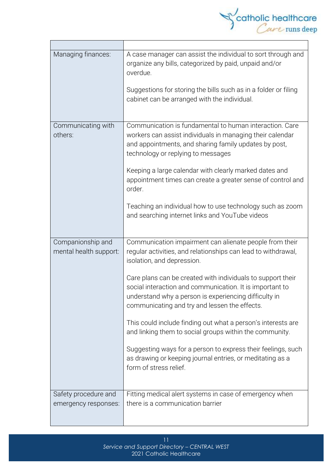

Ť.

| Managing finances:                          | A case manager can assist the individual to sort through and<br>organize any bills, categorized by paid, unpaid and/or<br>overdue.                                                                                                |  |
|---------------------------------------------|-----------------------------------------------------------------------------------------------------------------------------------------------------------------------------------------------------------------------------------|--|
|                                             | Suggestions for storing the bills such as in a folder or filing<br>cabinet can be arranged with the individual.                                                                                                                   |  |
| Communicating with<br>others:               | Communication is fundamental to human interaction. Care<br>workers can assist individuals in managing their calendar<br>and appointments, and sharing family updates by post,<br>technology or replying to messages               |  |
|                                             | Keeping a large calendar with clearly marked dates and<br>appointment times can create a greater sense of control and<br>order.                                                                                                   |  |
|                                             | Teaching an individual how to use technology such as zoom<br>and searching internet links and YouTube videos                                                                                                                      |  |
| Companionship and<br>mental health support: | Communication impairment can alienate people from their<br>regular activities, and relationships can lead to withdrawal,<br>isolation, and depression.                                                                            |  |
|                                             | Care plans can be created with individuals to support their<br>social interaction and communication. It is important to<br>understand why a person is experiencing difficulty in<br>communicating and try and lessen the effects. |  |
|                                             | This could include finding out what a person's interests are<br>and linking them to social groups within the community.                                                                                                           |  |
|                                             | Suggesting ways for a person to express their feelings, such<br>as drawing or keeping journal entries, or meditating as a<br>form of stress relief.                                                                               |  |
| Safety procedure and                        | Fitting medical alert systems in case of emergency when                                                                                                                                                                           |  |
| emergency responses:                        | there is a communication barrier                                                                                                                                                                                                  |  |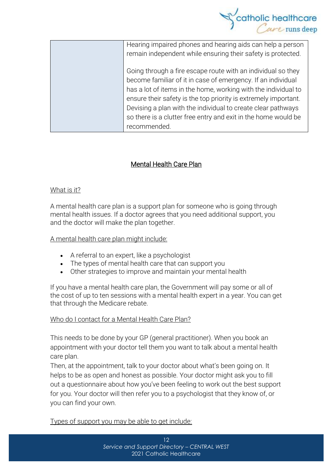

| Hearing impaired phones and hearing aids can help a person      |
|-----------------------------------------------------------------|
| remain independent while ensuring their safety is protected.    |
|                                                                 |
| Going through a fire escape route with an individual so they    |
| become familiar of it in case of emergency. If an individual    |
| has a lot of items in the home, working with the individual to  |
| ensure their safety is the top priority is extremely important. |
| Devising a plan with the individual to create clear pathways    |
| so there is a clutter free entry and exit in the home would be  |
| recommended.                                                    |
|                                                                 |

#### Mental Health Care Plan

#### What is it?

A mental health care plan is a support plan for someone who is going through mental health issues. If a doctor agrees that you need additional support, you and the doctor will make the plan together.

A mental health care plan might include:

- A referral to an expert, like a psychologist
- The types of mental health care that can support you
- Other strategies to improve and maintain your mental health

If you have a mental health care plan, the Government will pay some or all of the cost of up to ten sessions with a mental health expert in a year. You can get that through the [Medicare](https://headspace.org.au/blog/how-to-get-a-medicare-card-old/) rebate.

#### Who do I contact for a Mental Health Care Plan?

This needs to be done by your GP (general practitioner). When you book an appointment with your doctor tell them you want to talk about a mental health care plan.

Then, at the appointment, talk to your doctor about what's been going on. It helps to be as open and honest as possible. Your doctor might ask you to fill out a questionnaire about how you've been feeling to work out the best support for you. Your doctor will then refer you to a psychologist that they know of, or you can find your own.

Types of support you may be able to get include: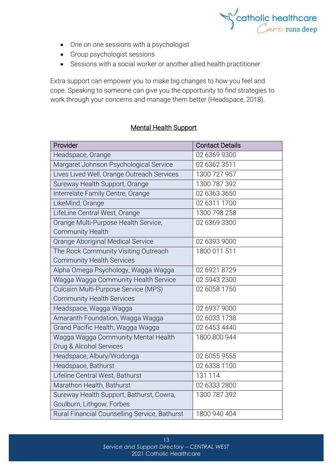

- One on one sessions with a psychologist
- Group psychologist sessions
- Sessions with a social worker or another allied health practitioner

Extra support can empower you to make big changes to how you feel and cope. Speaking to someone can give you the opportunity to find strategies to work through your concerns and manage them better (Headspace, 2018).

#### Mental Health Support

| Provider                                      | <b>Contact Details</b> |
|-----------------------------------------------|------------------------|
| Headspace, Orange                             | 02 6369 9300           |
| Margaret Johnson Psychological Service        | 02 6362 3511           |
| Lives Lived Well, Orange Outreach Services    | 1300 727 957           |
| Sureway Health Support, Orange                | 1300 787 392           |
| Interrelate Family Centre, Orange             | 02 6363 3650           |
| LikeMind, Orange                              | 02 6311 1700           |
| LifeLine Central West, Orange                 | 1300 798 258           |
| Orange Multi-Purpose Health Service,          | 02 6369 3300           |
| <b>Community Health</b>                       |                        |
| Orange Aboriginal Medical Service             | 02 6393 9000           |
| The Rock Community Visiting Outreach          | 1800 011 511           |
| <b>Community Health Services</b>              |                        |
| Alpha Omega Psychology, Wagga Wagga           | 02 6921 8729           |
| Wagga Wagga Community Health Service          | 02 5943 2300           |
| Culcairn Multi-Purpose Service (MPS)          | 02 6058 1750           |
| <b>Community Health Services</b>              |                        |
| Headspace, Wagga Wagga                        | 02 6937 9000           |
| Amaranth Foundation, Wagga Wagga              | 02 6033 1738           |
| Grand Pacific Health, Wagga Wagga             | 02 6453 4440           |
| Wagga Wagga Community Mental Health           | 1800 800 944           |
| Drug & Alcohol Services                       |                        |
| Headspace, Albury/Wodonga                     | 02 6055 9555           |
| Headspace, Bathurst                           | 02 6338 1100           |
| Lifeline Central West, Bathurst               | 131 114                |
| Marathon Health, Bathurst                     | 02 6333 2800           |
| Sureway Health Support, Bathurst, Cowra,      | 1300 787 392           |
| Goulburn, Lithgow, Forbes                     |                        |
| Rural Financial Counselling Service, Bathurst | 1800 940 404           |